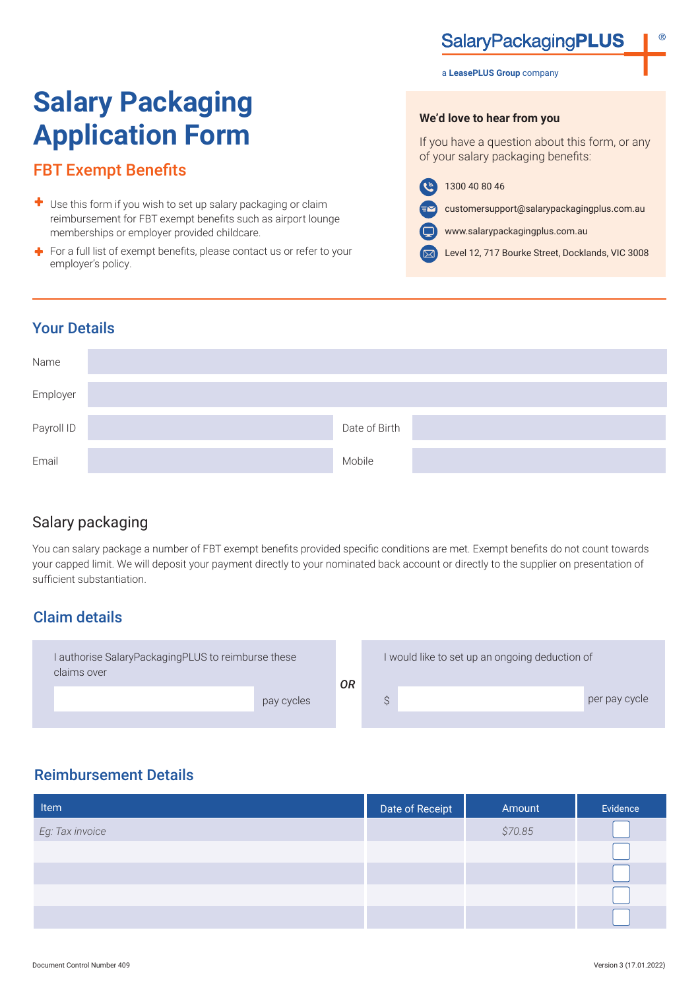# **SalaryPackagingPLUS**

#### a **LeasePLUS Group** company

# **Salary Packaging Application Form**

# FBT Exempt Benefits

- Use this form if you wish to set up salary packaging or claim reimbursement for FBT exempt benefits such as airport lounge memberships or employer provided childcare.
- $\div$  For a full list of exempt benefits, please contact us or refer to your employer's policy.

**We'd love to hear from you**

If you have a question about this form, or any of your salary packaging benefits:

- $\mathbf{G}$ 1300 40 80 46
	- customersupport@salarypackagingplus.com.au
	- www.salarypackagingplus.com.au
- Level 12, 717 Bourke Street, Docklands, VIC 3008  $(\nabla)$

#### Your Details

| Name       |               |  |
|------------|---------------|--|
| Employer   |               |  |
| Payroll ID | Date of Birth |  |
| Email      | Mobile        |  |

# Salary packaging

You can salary package a number of FBT exempt benefits provided specific conditions are met. Exempt benefits do not count towards your capped limit. We will deposit your payment directly to your nominated back account or directly to the supplier on presentation of sufficient substantiation.

# Claim details



# Reimbursement Details

| Item            | Date of Receipt | Amount  | Evidence |
|-----------------|-----------------|---------|----------|
| Eg: Tax invoice |                 | \$70.85 |          |
|                 |                 |         |          |
|                 |                 |         |          |
|                 |                 |         |          |
|                 |                 |         |          |